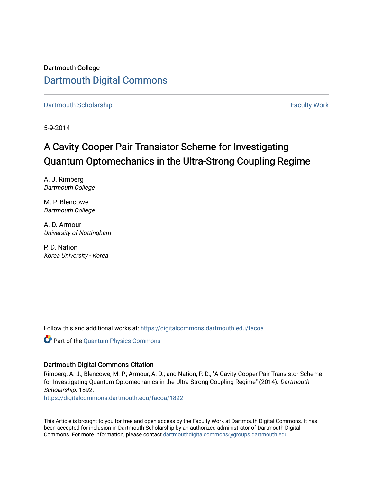Dartmouth College [Dartmouth Digital Commons](https://digitalcommons.dartmouth.edu/) 

[Dartmouth Scholarship](https://digitalcommons.dartmouth.edu/facoa) [Faculty Work](https://digitalcommons.dartmouth.edu/faculty) and The Basic Scholarship Faculty Work Faculty Work

5-9-2014

# A Cavity-Cooper Pair Transistor Scheme for Investigating Quantum Optomechanics in the Ultra-Strong Coupling Regime

A. J. Rimberg Dartmouth College

M. P. Blencowe Dartmouth College

A. D. Armour University of Nottingham

P. D. Nation Korea University - Korea

Follow this and additional works at: [https://digitalcommons.dartmouth.edu/facoa](https://digitalcommons.dartmouth.edu/facoa?utm_source=digitalcommons.dartmouth.edu%2Ffacoa%2F1892&utm_medium=PDF&utm_campaign=PDFCoverPages)

Part of the [Quantum Physics Commons](http://network.bepress.com/hgg/discipline/206?utm_source=digitalcommons.dartmouth.edu%2Ffacoa%2F1892&utm_medium=PDF&utm_campaign=PDFCoverPages) 

## Dartmouth Digital Commons Citation

Rimberg, A. J.; Blencowe, M. P.; Armour, A. D.; and Nation, P. D., "A Cavity-Cooper Pair Transistor Scheme for Investigating Quantum Optomechanics in the Ultra-Strong Coupling Regime" (2014). Dartmouth Scholarship. 1892.

[https://digitalcommons.dartmouth.edu/facoa/1892](https://digitalcommons.dartmouth.edu/facoa/1892?utm_source=digitalcommons.dartmouth.edu%2Ffacoa%2F1892&utm_medium=PDF&utm_campaign=PDFCoverPages) 

This Article is brought to you for free and open access by the Faculty Work at Dartmouth Digital Commons. It has been accepted for inclusion in Dartmouth Scholarship by an authorized administrator of Dartmouth Digital Commons. For more information, please contact [dartmouthdigitalcommons@groups.dartmouth.edu](mailto:dartmouthdigitalcommons@groups.dartmouth.edu).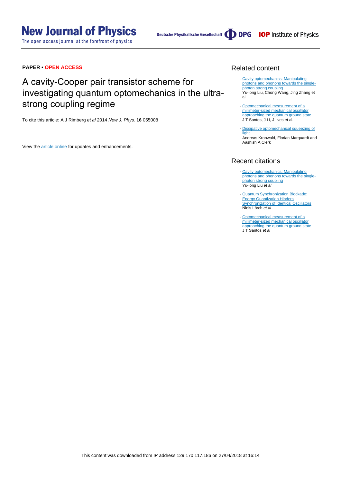The open access journal at the forefront of physics

Deutsche Physikalische Gesellschaft (DDPG IOP Institute of Physics

# **PAPER • OPEN ACCESS**

# A cavity-Cooper pair transistor scheme for investigating quantum optomechanics in the ultrastrong coupling regime

To cite this article: A J Rimberg et al 2014 New J. Phys. **16** 055008

View the [article online](https://doi.org/10.1088/1367-2630/16/5/055008) for updates and enhancements.

# Related content

- [Cavity optomechanics: Manipulating](http://iopscience.iop.org/article/10.1088/1674-1056/27/2/024204) [photons and phonons towards the single](http://iopscience.iop.org/article/10.1088/1674-1056/27/2/024204)[photon strong coupling](http://iopscience.iop.org/article/10.1088/1674-1056/27/2/024204) Yu-long Liu, Chong Wang, Jing Zhang et al.
- [Optomechanical measurement of a](http://iopscience.iop.org/article/10.1088/1367-2630/aa83a5) [millimeter-sized mechanical oscillator](http://iopscience.iop.org/article/10.1088/1367-2630/aa83a5) [approaching the quantum ground state](http://iopscience.iop.org/article/10.1088/1367-2630/aa83a5) J T Santos, J Li, J Ilves et al.
- [Dissipative optomechanical squeezing of](http://iopscience.iop.org/article/10.1088/1367-2630/16/6/063058) [light](http://iopscience.iop.org/article/10.1088/1367-2630/16/6/063058) Andreas Kronwald, Florian Marquardt and Aashish A Clerk

## Recent citations

- [Cavity optomechanics: Manipulating](http://iopscience.iop.org/1674-1056/27/2/024204) [photons and phonons towards the single](http://iopscience.iop.org/1674-1056/27/2/024204)<mark>[photon strong coupling](http://iopscience.iop.org/1674-1056/27/2/024204)</mark><br>Yu-long Liu *et al*
- [Quantum Synchronization Blockade:](http://dx.doi.org/10.1103/PhysRevLett.118.243602) **[Energy Quantization Hinders](http://dx.doi.org/10.1103/PhysRevLett.118.243602)** [Synchronization of Identical Oscillators](http://dx.doi.org/10.1103/PhysRevLett.118.243602) Niels Lörch et al
- [Optomechanical measurement of a](http://iopscience.iop.org/1367-2630/19/10/103014) [millimeter-sized mechanical oscillator](http://iopscience.iop.org/1367-2630/19/10/103014) [approaching the quantum ground state](http://iopscience.iop.org/1367-2630/19/10/103014)<br>J T Santos *et al*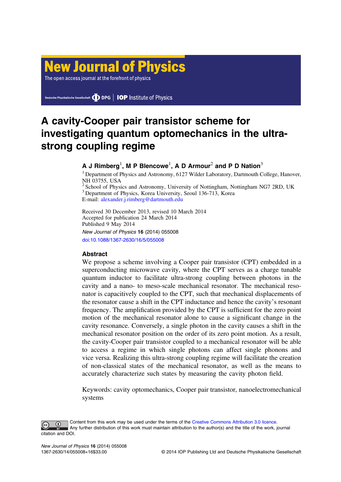# **New Journal of Physics**

The open access journal at the forefront of physics

Deutsche Physikalische Gesellschaft **DDPG** | **IOP** Institute of Physics

# A cavity-Cooper pair transistor scheme for investigating quantum optomechanics in the ultrastrong coupling regime

# **A** J Rimberg $^1$ , M P Blencowe $^1$ , A D Armour $^2$  and P D Nation $^3$

<sup>1</sup> Department of Physics and Astronomy, 6127 Wilder Laboratory, Dartmouth College, Hanover, NH 03755, USA

 $2$  School of Physics and Astronomy, University of Nottingham, Nottingham NG7 2RD, UK <sup>3</sup> Department of Physics, Korea University, Seoul 136-713, Korea E-mail: [alexander.j.rimberg@dartmouth.edu](mailto:alexander.j.rimberg@dartmouth.edu)

Received 30 December 2013, revised 10 March 2014 Accepted for publication 24 March 2014 Published 9 May 2014

New Journal of Physics 16 (2014) 055008 [doi:10.1088/1367-2630/16/5/055008](http://dx.doi.org/10.1088/1367-2630/16/5/055008)

# Abstract

We propose a scheme involving a Cooper pair transistor (CPT) embedded in a superconducting microwave cavity, where the CPT serves as a charge tunable quantum inductor to facilitate ultra-strong coupling between photons in the cavity and a nano- to meso-scale mechanical resonator. The mechanical resonator is capacitively coupled to the CPT, such that mechanical displacements of the resonator cause a shift in the CPT inductance and hence the cavity's resonant frequency. The amplification provided by the CPT is sufficient for the zero point motion of the mechanical resonator alone to cause a significant change in the cavity resonance. Conversely, a single photon in the cavity causes a shift in the mechanical resonator position on the order of its zero point motion. As a result, the cavity-Cooper pair transistor coupled to a mechanical resonator will be able to access a regime in which single photons can affect single phonons and vice versa. Realizing this ultra-strong coupling regime will facilitate the creation of non-classical states of the mechanical resonator, as well as the means to accurately characterize such states by measuring the cavity photon field.

Keywords: cavity optomechanics, Cooper pair transistor, nanoelectromechanical systems

Content from this work may be used under the terms of the [Creative Commons Attribution 3.0 licence](http://creativecommons.org/licenses/by/3.0/).  $\bigcirc$ Any further distribution of this work must maintain attribution to the author(s) and the title of the work, journal citation and DOI.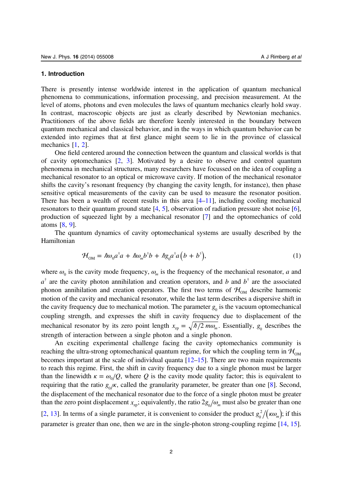#### <span id="page-3-0"></span>1. Introduction

There is presently intense worldwide interest in the application of quantum mechanical phenomena to communications, information processing, and precision measurement. At the level of atoms, photons and even molecules the laws of quantum mechanics clearly hold sway. In contrast, macroscopic objects are just as clearly described by Newtonian mechanics. Practitioners of the above fields are therefore keenly interested in the boundary between quantum mechanical and classical behavior, and in the ways in which quantum behavior can be extended into regimes that at first glance might seem to lie in the province of classical mechanics [\[1](#page-15-0), [2](#page-15-0)].

One field centered around the connection between the quantum and classical worlds is that of cavity optomechanics [\[2](#page-15-0), [3\]](#page-15-0). Motivated by a desire to observe and control quantum phenomena in mechanical structures, many researchers have focussed on the idea of coupling a mechanical resonator to an optical or microwave cavity. If motion of the mechanical resonator shifts the cavity's resonant frequency (by changing the cavity length, for instance), then phase sensitive optical measurements of the cavity can be used to measure the resonator position. There has been a wealth of recent results in this area  $[4–11]$  $[4–11]$  $[4–11]$  $[4–11]$  $[4–11]$ , including cooling mechanical resonators to their quantum ground state [[4,](#page-16-0) [5\]](#page-16-0), observation of radiation pressure shot noise [\[6](#page-16-0)], production of squeezed light by a mechanical resonator [[7\]](#page-16-0) and the optomechanics of cold atoms [[8,](#page-16-0) [9\]](#page-16-0).

The quantum dynamics of cavity optomechanical systems are usually described by the Hamiltonian

$$
\mathcal{H}_{OM} = \hbar \omega_0 a^{\dagger} a + \hbar \omega_m b^{\dagger} b + \hbar g_0 a^{\dagger} a (b + b^{\dagger}), \tag{1}
$$

where  $\omega_0$  is the cavity mode frequency,  $\omega_m$  is the frequency of the mechanical resonator, a and  $a^{\dagger}$  are the cavity photon annihilation and creation operators, and b and  $b^{\dagger}$  are the associated phonon annihilation and creation operators. The first two terms of  $\mathcal{H}_{OM}$  describe harmonic motion of the cavity and mechanical resonator, while the last term describes a dispersive shift in the cavity frequency due to mechanical motion. The parameter  $g_0$  is the vacuum optomechanical coupling strength, and expresses the shift in cavity frequency due to displacement of the mechanical resonator by its zero point length  $x_{\text{in}} = \sqrt{\hbar/2 m \omega_{\text{in}}}$ . Essentially,  $g_0$  describes the strength of interaction between a single photon and a single phonon.

An exciting experimental challenge facing the cavity optomechanics community is reaching the ultra-strong optomechanical quantum regime, for which the coupling term in  $\mathcal{H}_{OM}$ becomes important at the scale of individual quanta [\[12](#page-16-0)–[15\]](#page-16-0). There are two main requirements to reach this regime. First, the shift in cavity frequency due to a single phonon must be larger than the linewidth  $\kappa = \omega_0/Q$ , where Q is the cavity mode quality factor; this is equivalent to requiring that the ratio  $g_0/\kappa$ , called the granularity parameter, be greater than one [\[8](#page-16-0)]. Second, the displacement of the mechanical resonator due to the force of a single photon must be greater than the zero point displacement  $x_{2p}$ ; equivalently, the ratio  $2g_0/\omega_m$  must also be greater than one [[2,](#page-15-0) [13\]](#page-16-0). In terms of a single parameter, it is convenient to consider the product  $g_0^2/(\kappa \omega_m)$ ; if this parameter is greater than one, then we are in the single-photon strong-coupling regime [\[14](#page-16-0), [15](#page-16-0)].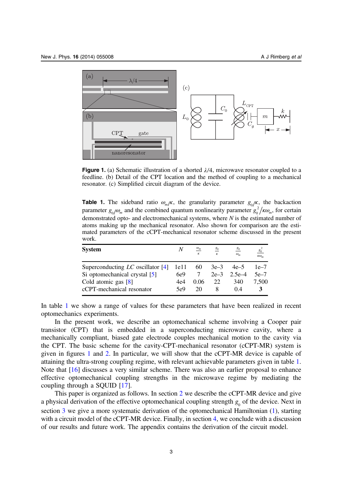<span id="page-4-0"></span>

Figure 1. (a) Schematic illustration of a shorted *λ* 4, microwave resonator coupled to a feedline. (b) Detail of the CPT location and the method of coupling to a mechanical resonator. (c) Simplified circuit diagram of the device.

**Table 1.** The sideband ratio  $\omega_m/\kappa$ , the granularity parameter  $g_0/\kappa$ , the backaction parameter  $g_0/\omega_m$  and the combined quantum nonlinearity parameter  $g_0^2/\kappa\omega_m$ , for certain demonstrated opto- and electromechanical systems, where  $N$  is the estimated number of atoms making up the mechanical resonator. Also shown for comparison are the estimated parameters of the cCPT-mechanical resonator scheme discussed in the present work.

| <b>System</b>                       | N    | $\omega_m$<br>ĸ | $g_0$<br>$\kappa$ | $\mathcal{S}_0$<br>$\omega_m$ | $80^\circ$<br>$K\omega_{m}$ |
|-------------------------------------|------|-----------------|-------------------|-------------------------------|-----------------------------|
| Superconducting $LC$ oscillator [4] | 1e11 | 60              | $3e-3$            | $4e-5$                        | $1e-7$                      |
| Si optomechanical crystal [5]       | 6e9  |                 | $2e-3$            | 2.5 $e-4$                     | $5e-7$                      |
| Cold atomic gas $[8]$               | 4e4  | 0.06            | 22                | 340                           | 7.500                       |
| cCPT-mechanical resonator           | 5e9  | 20              |                   | 04                            |                             |

In table 1 we show a range of values for these parameters that have been realized in recent optomechanics experiments.

In the present work, we describe an optomechanical scheme involving a Cooper pair transistor (CPT) that is embedded in a superconducting microwave cavity, where a mechanically compliant, biased gate electrode couples mechanical motion to the cavity via the CPT. The basic scheme for the cavity-CPT-mechanical resonator (cCPT-MR) system is given in figures 1 and [2](#page-5-0). In particular, we will show that the cCPT-MR device is capable of attaining the ultra-strong coupling regime, with relevant achievable parameters given in table 1. Note that [[16\]](#page-16-0) discusses a very similar scheme. There was also an earlier proposal to enhance effective optomechanical coupling strengths in the microwave regime by mediating the coupling through a SQUID [[17\]](#page-16-0).

This paper is organized as follows. In section [2](#page-5-0) we describe the cCPT-MR device and give a physical derivation of the effective optomechanical coupling strength  $g_0$  of the device. Next in section [3](#page-9-0) we give a more systematic derivation of the optomechanical Hamiltonian ([1\)](#page-3-0), starting with a circuit model of the cCPT-MR device. Finally, in section [4](#page-11-0), we conclude with a discussion of our results and future work. The appendix contains the derivation of the circuit model.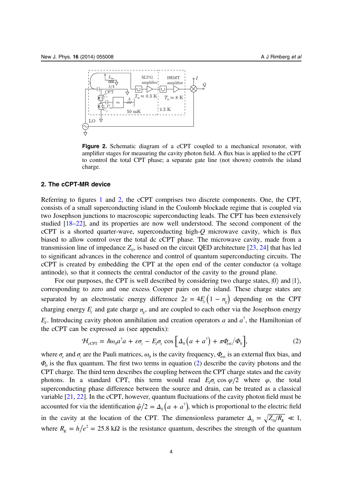<span id="page-5-0"></span>

Figure 2. Schematic diagram of a cCPT coupled to a mechanical resonator, with amplifier stages for measuring the cavity photon field. A flux bias is applied to the cCPT to control the total CPT phase; a separate gate line (not shown) controls the island charge.

# 2. The cCPT-MR device

Referring to figures [1](#page-4-0) and 2, the cCPT comprises two discrete components. One, the CPT, consists of a small superconducting island in the Coulomb blockade regime that is coupled via two Josephson junctions to macroscopic superconducting leads. The CPT has been extensively studied [[18](#page-16-0)–[22](#page-16-0)], and its properties are now well understood. The second component of the cCPT is a shorted quarter-wave, superconducting high- $Q$  microwave cavity, which is flux biased to allow control over the total dc cCPT phase. The microwave cavity, made from a transmission line of impedance  $Z_0$ , is based on the circuit QED architecture [\[23](#page-16-0), [24](#page-16-0)] that has led to significant advances in the coherence and control of quantum superconducting circuits. The cCPT is created by embedding the CPT at the open end of the center conductor (a voltage antinode), so that it connects the central conductor of the cavity to the ground plane.

For our purposes, the CPT is well described by considering two charge states,  $|0\rangle$  and  $|1\rangle$ , corresponding to zero and one excess Cooper pairs on the island. These charge states are separated by an electrostatic energy difference  $2\varepsilon = 4E_c(1 - n_g)$  depending on the CPT charging energy  $E_c$  and gate charge  $n_c$ , and are coupled to each other via the Josephson energy  $E_j$ . Introducing cavity photon annihilation and creation operators a and  $a^{\dagger}$ , the Hamiltonian of the cCPT can be expressed as (see appendix):

$$
\mathcal{H}_{\text{cCPT}} = \hbar \omega_0 a^{\dagger} a + \varepsilon \sigma_z - E_J \sigma_x \cos \left[ \Delta_0 \left( a + a^{\dagger} \right) + \pi \Phi_{\text{ext}} / \Phi_0 \right],\tag{2}
$$

where  $\sigma_x$  and  $\sigma_z$  are the Pauli matrices,  $\omega_0$  is the cavity frequency,  $\Phi_{ext}$  is an external flux bias, and  $\Phi_0$  is the flux quantum. The first two terms in equation (2) describe the cavity photons and the CPT charge. The third term describes the coupling between the CPT charge states and the cavity photons. In a standard CPT, this term would read  $E_1 \sigma_r \cos \varphi/2$  where  $\varphi$ , the total superconducting phase difference between the source and drain, can be treated as a classical variable [\[21](#page-16-0), [22](#page-16-0)]. In the cCPT, however, quantum fluctuations of the cavity photon field must be accounted for via the identification  $\hat{\varphi}/2 = \Delta_0 (a + a^{\dagger})$ , which is proportional to the electric field in the cavity at the location of the CPT. The dimensionless parameter  $\Delta_0 = \sqrt{Z_0/R_{\kappa}} \ll 1$ , where  $R_K = h/e^2 = 25.8 \text{ k}\Omega$  is the resistance quantum, describes the strength of the quantum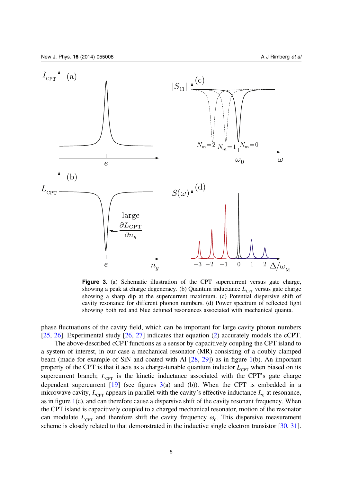<span id="page-6-0"></span>

Figure 3. (a) Schematic illustration of the CPT supercurrent versus gate charge, showing a peak at charge degeneracy. (b) Quantum inductance  $L_{\text{CPT}}$  versus gate charge showing a sharp dip at the supercurrent maximum. (c) Potential dispersive shift of cavity resonance for different phonon numbers. (d) Power spectrum of reflected light showing both red and blue detuned resonances associated with mechanical quanta.

phase fluctuations of the cavity field, which can be important for large cavity photon numbers [[25,](#page-16-0) [26](#page-16-0)]. Experimental study [\[26](#page-16-0), [27](#page-16-0)] indicates that equation [\(2](#page-5-0)) accurately models the cCPT.

The above-described cCPT functions as a sensor by capacitively coupling the CPT island to a system of interest, in our case a mechanical resonator (MR) consisting of a doubly clamped beam (made for example of SiN and coated with Al [[28](#page-16-0), [29\]](#page-16-0)) as in figure [1](#page-4-0)(b). An important property of the CPT is that it acts as a charge-tunable quantum inductor  $L_{CPT}$  when biased on its supercurrent branch;  $L_{\text{CPT}}$  is the kinetic inductance associated with the CPT's gate charge dependent supercurrent  $[19]$  (see figures 3(a) and (b)). When the CPT is embedded in a microwave cavity,  $L_{\text{CPT}}$  appears in parallel with the cavity's effective inductance  $L_0$  at resonance, as in figure [1](#page-4-0)(c), and can therefore cause a dispersive shift of the cavity resonant frequency. When the CPT island is capacitively coupled to a charged mechanical resonator, motion of the resonator can modulate  $L_{\text{CPT}}$  and therefore shift the cavity frequency  $\omega_0$ . This dispersive measurement scheme is closely related to that demonstrated in the inductive single electron transistor [\[30](#page-16-0), [31](#page-16-0)].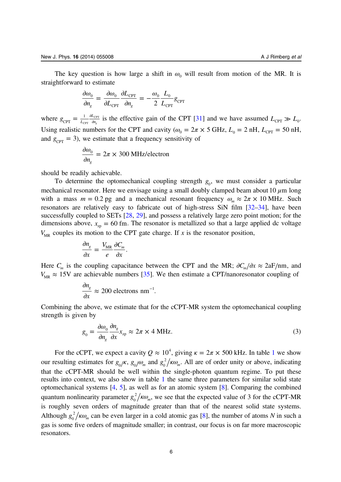The key question is how large a shift in  $\omega_0$  will result from motion of the MR. It is straightforward to estimate

$$
\frac{\partial \omega_0}{\partial n_g} = \frac{\partial \omega_0}{\partial L_{\text{CPT}}} \frac{\partial L_{\text{CPT}}}{\partial n_g} = -\frac{\omega_0}{2} \frac{L_0}{L_{\text{CPT}}} g_{\text{CPT}}
$$

where  $g_{\text{CPT}} = \frac{1}{L_{\text{CPT}}} \frac{\partial L}{\partial g}$  $CPT \begin{array}{c} \n- \nL_{CPT} \n\end{array}$  on 1  $\frac{1}{C_{\text{CPT}}}$   $\frac{\partial L_{\text{CPT}}}{\partial n_g}$  is the effective gain of the CPT [[31\]](#page-16-0) and we have assumed  $L_{\text{CPT}} \gg L_0$ . Using realistic numbers for the CPT and cavity ( $\omega_0 = 2\pi \times 5$  GHz,  $L_0 = 2$  nH,  $L_{CPT} = 50$  nH, and  $g_{\text{CPT}} = 3$ ), we estimate that a frequency sensitivity of

$$
\frac{\partial \omega_0}{\partial n_g} = 2\pi \times 300 \text{ MHz/electron}
$$

should be readily achievable.

To determine the optomechanical coupling strength  $g_0$ , we must consider a particular mechanical resonator. Here we envisage using a small doubly clamped beam about 10  $\mu$ m long with a mass  $m = 0.2$  pg and a mechanical resonant frequency  $\omega_m \approx 2\pi \times 10$  MHz. Such resonators are relatively easy to fabricate out of high-stress SiN film [[32](#page-16-0)–[34\]](#page-16-0), have been successfully coupled to SETs  $[28, 29]$  $[28, 29]$  $[28, 29]$ , and possess a relatively large zero point motion; for the dimensions above,  $x_{zp} = 60$  fm. The resonator is metallized so that a large applied dc voltage  $V_{MR}$  couples its motion to the CPT gate charge. If x is the resonator position,

$$
\frac{\partial n_g}{\partial x} = \frac{V_{MR}}{e} \frac{\partial C_m}{\partial x}.
$$

Here  $C_m$  is the coupling capacitance between the CPT and the MR;  $\partial C_m / \partial x \approx 2aF/nm$ , and  $V_{MR} \approx 15V$  are achievable numbers [\[35](#page-16-0)]. We then estimate a CPT/nanoresonator coupling of

$$
\frac{\partial n_g}{\partial x} \approx 200 \text{ electrons nm}^{-1}.
$$

Combining the above, we estimate that for the cCPT-MR system the optomechanical coupling strength is given by

$$
g_0 = \frac{\partial \omega_0}{\partial n_g} \frac{\partial n_g}{\partial x} x_{\text{zp}} \approx 2\pi \times 4 \text{ MHz.}
$$
\n(3)

For the cCPT, we expect a cavity  $Q \approx 10^4$  $Q \approx 10^4$  $Q \approx 10^4$ , giving  $\kappa = 2\pi \times 500$  kHz. In table 1 we show our resulting estimates for  $g_0/\kappa$ ,  $g_0/\omega_m$  and  $g_0^2/\kappa\omega_m$ . All are of order unity or above, indicating that the cCPT-MR should be well within the single-photon quantum regime. To put these results into context, we also show in table [1](#page-4-0) the same three parameters for similar solid state optomechanical systems [[4,](#page-16-0) [5\]](#page-16-0), as well as for an atomic system [[8\]](#page-16-0). Comparing the combined quantum nonlinearity parameter  $g_0^2/\kappa\omega_m$ , we see that the expected value of 3 for the cCPT-MR is roughly seven orders of magnitude greater than that of the nearest solid state systems. Although  $g_0^2 / \kappa \omega_m$  can be even larger in a cold atomic gas [\[8](#page-16-0)], the number of atoms N in such a gas is some five orders of magnitude smaller; in contrast, our focus is on far more macroscopic resonators.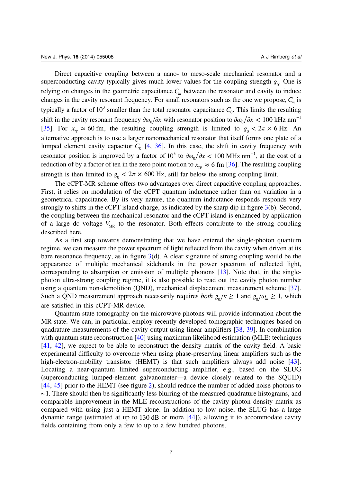Direct capacitive coupling between a nano- to meso-scale mechanical resonator and a superconducting cavity typically gives much lower values for the coupling strength  $g_0$ . One is relying on changes in the geometric capacitance  $C_m$  between the resonator and cavity to induce changes in the cavity resonant frequency. For small resonators such as the one we propose,  $C_m$  is typically a factor of 10<sup>3</sup> smaller than the total resonator capacitance  $C_0$ . This limits the resulting shift in the cavity resonant frequency  $\partial \omega_0/\partial x$  with resonator position to  $\partial \omega_0/\partial x < 100$  kHz nm<sup>-1</sup> [[35](#page-16-0)]. For  $x_{\text{zp}} \approx 60 \text{ fm}$ , the resulting coupling strength is limited to  $g_0 < 2\pi \times 6 \text{ Hz}$ . An alternative approach is to use a larger nanomechanical resonator that itself forms one plate of a lumped element cavity capacitor  $C_0$  [\[4](#page-16-0), [36](#page-16-0)]. In this case, the shift in cavity frequency with resonator position is improved by a factor of  $10^3$  to  $\partial \omega_0 / \partial x < 100 \text{ MHz nm}^{-1}$ , at the cost of a reduction of by a factor of ten in the zero point motion to  $x_{\text{zp}} \approx 6 \text{ fm } [36]$  $x_{\text{zp}} \approx 6 \text{ fm } [36]$  $x_{\text{zp}} \approx 6 \text{ fm } [36]$ . The resulting coupling strength is then limited to  $g_0 < 2\pi \times 600$  Hz, still far below the strong coupling limit.

The cCPT-MR scheme offers two advantages over direct capacitive coupling approaches. First, it relies on modulation of the cCPT quantum inductance rather than on variation in a geometrical capacitance. By its very nature, the quantum inductance responds responds very strongly to shifts in the cCPT island charge, as indicated by the sharp dip in figure [3](#page-6-0)(b). Second, the coupling between the mechanical resonator and the cCPT island is enhanced by application of a large dc voltage  $V_{MR}$  to the resonator. Both effects contribute to the strong coupling described here.

As a first step towards demonstrating that we have entered the single-photon quantum regime, we can measure the power spectrum of light reflected from the cavity when driven at its bare resonance frequency, as in figure  $3(d)$  $3(d)$ . A clear signature of strong coupling would be the appearance of multiple mechanical sidebands in the power spectrum of reflected light, corresponding to absorption or emission of multiple phonons [\[13](#page-16-0)]. Note that, in the singlephoton ultra-strong coupling regime, it is also possible to read out the cavity photon number using a quantum non-demolition (QND), mechanical displacement measurement scheme [\[37](#page-16-0)]. Such a QND measurement approach necessarily requires *both*  $g_0/\kappa \gtrsim 1$  and  $g_0/\omega_m \gtrsim 1$ , which are satisfied in this cCPT-MR device.

Quantum state tomography on the microwave photons will provide information about the MR state. We can, in particular, employ recently developed tomographic techniques based on quadrature measurements of the cavity output using linear amplifiers [[38,](#page-16-0) [39](#page-16-0)]. In combination with quantum state reconstruction [[40\]](#page-16-0) using maximum likelihood estimation (MLE) techniques [[41,](#page-17-0) [42](#page-17-0)], we expect to be able to reconstruct the density matrix of the cavity field. A basic experimental difficulty to overcome when using phase-preserving linear amplifiers such as the high-electron-mobility transistor (HEMT) is that such amplifiers always add noise [\[43](#page-17-0)]. Locating a near-quantum limited superconducting amplifier, e.g., based on the SLUG (superconducting lumped-element galvanometer—a device closely related to the SQUID) [[44,](#page-17-0) [45\]](#page-17-0) prior to the HEMT (see figure [2](#page-5-0)), should reduce the number of added noise photons to ∼1. There should then be significantly less blurring of the measured quadrature histograms, and comparable improvement in the MLE reconstructions of the cavity photon density matrix as compared with using just a HEMT alone. In addition to low noise, the SLUG has a large dynamic range (estimated at up to 130 dB or more [\[44](#page-17-0)]), allowing it to accommodate cavity fields containing from only a few to up to a few hundred photons.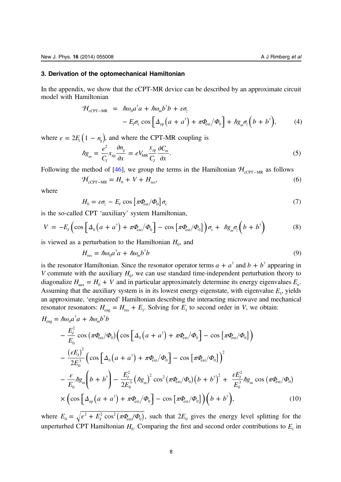#### <span id="page-9-0"></span>3. Derivation of the optomechanical Hamiltonian

In the appendix, we show that the cCPT-MR device can be described by an approximate circuit model with Hamiltonian

$$
\mathcal{H}_{\text{cCPT-MR}} = \hbar \omega_0 a^{\dagger} a + \hbar \omega_m b^{\dagger} b + \varepsilon \sigma_z \n- E_J \sigma_x \cos \left[ \Delta_{\text{zp}} \left( a + a^{\dagger} \right) + \pi \Phi_{\text{ext}} / \Phi_0 \right] + \hbar g_m \sigma_z \left( b + b^{\dagger} \right),
$$
\n(4)

where  $\varepsilon = 2E_c(1 - n_s)$ , and where the CPT-MR coupling is

$$
\hbar g_m = \frac{e^2}{C_J} x_{\text{zp}} \frac{\partial n_g}{\partial x} = e V_{\text{MR}} \frac{x_{\text{zp}}}{C_J} \frac{\partial C_m}{\partial x}.
$$
\n<sup>(5)</sup>

Following the method of [\[46](#page-17-0)], we group the terms in the Hamiltonian  $H_{\text{cCPT-MR}}$  as follows

$$
\mathcal{H}_{\text{cCPT-MR}} = H_0 + V + H_{\text{res}},\tag{6}
$$

where

$$
H_0 = \varepsilon \sigma_z - E_J \cos \left[ \pi \Phi_{\text{ext}} / \Phi_0 \right] \sigma_x \tag{7}
$$

is the so-called CPT 'auxiliary' system Hamiltonian,

$$
V = -E_J \left( \cos \left[ \Delta_0 \left( a + a^{\dagger} \right) + \pi \Phi_{\text{ext}} / \Phi_0 \right] - \cos \left[ \pi \Phi_{\text{ext}} / \Phi_0 \right] \right) \sigma_x + \hbar g_m \sigma_z \left( b + b^{\dagger} \right) \tag{8}
$$

is viewed as a perturbation to the Hamiltonian  $H_0$ , and

$$
H_{\rm res} = \hbar \omega_0 a^{\dagger} a + \hbar \omega_m b^{\dagger} b \tag{9}
$$

is the resonator Hamiltonian. Since the resonator operator terms  $a + a^{\dagger}$  and  $b + b^{\dagger}$  appearing in V commute with the auxiliary  $H_0$ , we can use standard time-independent perturbation theory to diagonalize  $H_{\text{aux}} = H_0 + V$  and in particular approximately determine its energy eigenvalues  $E_n$ . Assuming that the auxiliary system is in its lowest energy eigenstate, with eigenvalue  $E<sub>1</sub>$ , yields an approximate, 'engineered' Hamiltonian describing the interacting microwave and mechanical resonator resonators:  $H_{\text{eng}} = H_{\text{res}} + E_1$ . Solving for  $E_1$  to second order in V, we obtain:

$$
H_{\text{eng}} = \hbar \omega_0 a^{\dagger} a + \hbar \omega_m b^{\dagger} b
$$
  
\n
$$
- \frac{E_j^2}{E_0} \cos \left( \pi \Phi_{\text{ext}} / \Phi_0 \right) \left( \cos \left[ \Delta_0 \left( a + a^{\dagger} \right) + \pi \Phi_{\text{ext}} / \Phi_0 \right] - \cos \left[ \pi \Phi_{\text{ext}} / \Phi_0 \right] \right)
$$
  
\n
$$
- \frac{\left( \varepsilon E_j \right)^2}{2E_0^3} \left( \cos \left[ \Delta_0 \left( a + a^{\dagger} \right) + \pi \Phi_{\text{ext}} / \Phi_0 \right] - \cos \left[ \pi \Phi_{\text{ext}} / \Phi_0 \right] \right)^2
$$
  
\n
$$
- \frac{\varepsilon}{E_0} \hbar g_m \left( b + b^{\dagger} \right) - \frac{E_j^2}{2E_0^3} \left( \hbar g_m \right)^2 \cos^2 \left( \pi \Phi_{\text{ext}} / \Phi_0 \right) \left( b + b^{\dagger} \right)^2 + \frac{\varepsilon E_j^2}{E_0^3} \hbar g_m \cos \left( \pi \Phi_{\text{ext}} / \Phi_0 \right)
$$
  
\n
$$
\times \left( \cos \left[ \Delta_{\text{zp}} \left( a + a^{\dagger} \right) + \pi \Phi_{\text{ext}} / \Phi_0 \right] - \cos \left[ \pi \Phi_{\text{ext}} / \Phi_0 \right] \right) \left( b + b^{\dagger} \right), \tag{10}
$$

where  $E_0 = \sqrt{\varepsilon^2 + E_J^2 \cos^2(\pi \Phi_{ext}/\Phi_0)}$ , such that  $2E_0$  gives the energy level splitting for the unperturbed CPT Hamiltonian  $H_0$ . Comparing the first and second order contributions to  $E_1$  in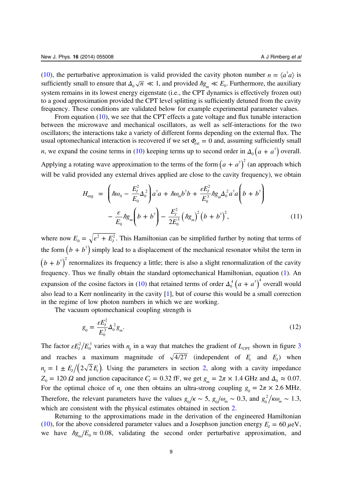([10\)](#page-9-0), the perturbative approximation is valid provided the cavity photon number  $n = \langle a^{\dagger} a \rangle$  is sufficiently small to ensure that  $\Delta_0 \sqrt{n} \ll 1$ , and provided  $\hbar g_m \ll E_0$ . Furthermore, the auxiliary system remains in its lowest energy eigenstate (i.e., the CPT dynamics is effectively frozen out) to a good approximation provided the CPT level splitting is sufficiently detuned from the cavity frequency. These conditions are validated below for example experimental parameter values.

From equation [\(10](#page-9-0)), we see that the CPT effects a gate voltage and flux tunable interaction between the microwave and mechanical oscillators, as well as self-interactions for the two oscillators; the interactions take a variety of different forms depending on the external flux. The usual optomechanical interaction is recovered if we set  $\Phi_{\text{ext}} = 0$  and, assuming sufficiently small *n*, we expand the cosine terms in ([10\)](#page-9-0) keeping terms up to second order in  $\Delta_0 (a + a^{\dagger})$  overall. Applying a rotating wave approximation to the terms of the form  $(a + a^{\dagger})^2$  (an approach which will be valid provided any external drives applied are close to the cavity frequency), we obtain

$$
H_{\text{eng}} = \left(\hbar\omega_0 - \frac{E_j^2}{E_0}\Delta_0^2\right) a^{\dagger} a + \hbar\omega_m b^{\dagger} b + \frac{\varepsilon E_j^2}{E_0^3} \hbar g_m \Delta_0^2 a^{\dagger} a \left(b + b^{\dagger}\right) - \frac{\varepsilon}{E_0} \hbar g_m \left(b + b^{\dagger}\right) - \frac{E_j^2}{2E_0^3} \left(\hbar g_m\right)^2 \left(b + b^{\dagger}\right)^2, \tag{11}
$$

where now  $E_0 = \sqrt{\varepsilon^2 + E_J^2}$ . This Hamiltonian can be simplified further by noting that terms of the form  $(b + b^{\dagger})$  simply lead to a displacement of the mechanical resonator whilst the term in  $(b + b^{\dagger})^2$  renormalizes its frequency a little; there is also a slight renormalization of the cavity frequency. Thus we finally obtain the standard optomechanical Hamiltonian, equation ([1\)](#page-3-0). An expansion of the cosine factors in ([10\)](#page-9-0) that retained terms of order  $\Delta_0^4 (a + a^{\dagger})^4$  overall would also lead to a Kerr nonlinearity in the cavity [\[1](#page-15-0)], but of course this would be a small correction in the regime of low photon numbers in which we are working.

The vacuum optomechanical coupling strength is

$$
g_0 = \frac{\varepsilon E_J^2}{E_0^3} \Delta_0^2 g_m. \tag{12}
$$

The factor  $\epsilon E_J^2/E$  $n_0^3$  $n_0^3$  varies with  $n_g$  in a way that matches the gradient of  $L_{\text{CPT}}$  shown in figure 3 and reaches a maximum magnitude of  $\sqrt{4/27}$  (independent of  $E_c$  and  $E_l$ ) when  $n_g = 1 \pm E_l/(2\sqrt{2}E_c)$ . Using the parameters in section [2,](#page-5-0) along with a cavity impedance *Z*<sub>0</sub> = 120 *Ω* and junction capacitance *C<sub>J</sub>* = 0.32 fF, we get  $g_m = 2\pi \times 1.4$  GHz and  $\Delta_0 \approx 0.07$ . For the optimal choice of  $n_g$  one then obtains an ultra-strong coupling  $g_0 = 2\pi \times 2.6$  MHz. Therefore, the relevant parameters have the values  $g_0/\kappa \sim 5$ ,  $g_0/\omega_m \sim 0.3$ , and  $g_0^2/\kappa \omega_m \sim 1.3$ , which are consistent with the physical estimates obtained in section [2.](#page-5-0)

Returning to the approximations made in the derivation of the engineered Hamiltonian ([10\)](#page-9-0), for the above considered parameter values and a Josephson junction energy  $E_I = 60 \mu\text{eV}$ , we have  $\hbar g_m/E_0 \approx 0.08$ , validating the second order perturbative approximation, and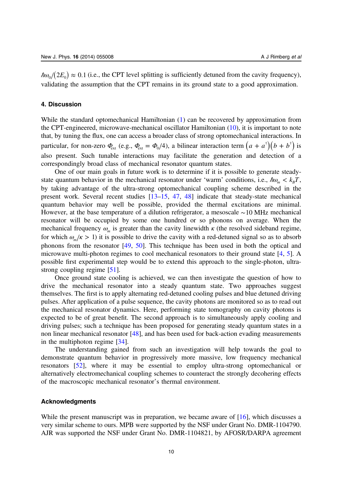<span id="page-11-0"></span> $\hbar \omega$ <sub>0</sub>/(2E<sub>0</sub>)  $\approx$  0.1 (i.e., the CPT level splitting is sufficiently detuned from the cavity frequency), validating the assumption that the CPT remains in its ground state to a good approximation.

# 4. Discussion

While the standard optomechanical Hamiltonian ([1\)](#page-3-0) can be recovered by approximation from the CPT-engineered, microwave-mechanical oscillator Hamiltonian ([10](#page-9-0)), it is important to note that, by tuning the flux, one can access a broader class of strong optomechanical interactions. In particular, for non-zero  $\Phi_{\text{ext}}$  (e.g.,  $\Phi_{\text{ext}} = \Phi_0/4$ ), a bilinear interaction term  $(a + a^{\dagger})(b + b^{\dagger})$  is also present. Such tunable interactions may facilitate the generation and detection of a correspondingly broad class of mechanical resonator quantum states.

One of our main goals in future work is to determine if it is possible to generate steadystate quantum behavior in the mechanical resonator under 'warm' conditions, i.e.,  $\hbar \omega_m < k_B T$ , by taking advantage of the ultra-strong optomechanical coupling scheme described in the present work. Several recent studies [\[13](#page-16-0)–[15,](#page-16-0) [47,](#page-17-0) [48](#page-17-0)] indicate that steady-state mechanical quantum behavior may well be possible, provided the thermal excitations are minimal. However, at the base temperature of a dilution refrigerator, a mesoscale ∼10 MHz mechanical resonator will be occupied by some one hundred or so phonons on average. When the mechanical frequency  $\omega_m$  is greater than the cavity linewidth  $\kappa$  (the resolved sideband regime, for which  $\omega_m / \kappa > 1$  it is possible to drive the cavity with a red-detuned signal so as to absorb phonons from the resonator [\[49,](#page-17-0) [50\]](#page-17-0). This technique has been used in both the optical and microwave multi-photon regimes to cool mechanical resonators to their ground state [[4,](#page-16-0) [5\]](#page-16-0). A possible first experimental step would be to extend this approach to the single-photon, ultrastrong coupling regime [[51](#page-17-0)].

Once ground state cooling is achieved, we can then investigate the question of how to drive the mechanical resonator into a steady quantum state. Two approaches suggest themselves. The first is to apply alternating red-detuned cooling pulses and blue detuned driving pulses. After application of a pulse sequence, the cavity photons are monitored so as to read out the mechanical resonator dynamics. Here, performing state tomography on cavity photons is expected to be of great benefit. The second approach is to simultaneously apply cooling and driving pulses; such a technique has been proposed for generating steady quantum states in a non linear mechanical resonator [[48\]](#page-17-0), and has been used for back-action evading measurements in the multiphoton regime [[34\]](#page-16-0).

The understanding gained from such an investigation will help towards the goal to demonstrate quantum behavior in progressively more massive, low frequency mechanical resonators [\[52](#page-17-0)], where it may be essential to employ ultra-strong optomechanical or alternatively electromechanical coupling schemes to counteract the strongly decohering effects of the macroscopic mechanical resonator's thermal environment.

### Acknowledgments

While the present manuscript was in preparation, we became aware of [[16\]](#page-16-0), which discusses a very similar scheme to ours. MPB were supported by the NSF under Grant No. DMR-1104790. AJR was supported the NSF under Grant No. DMR-1104821, by AFOSR/DARPA agreement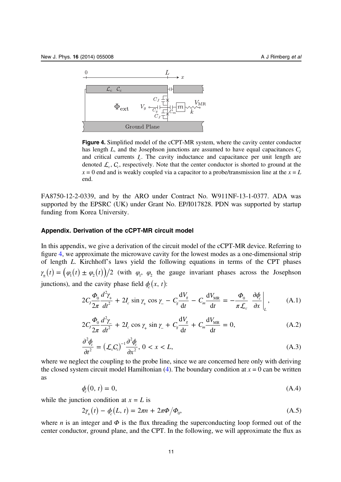<span id="page-12-0"></span>

Figure 4. Simplified model of the cCPT-MR system, where the cavity center conductor has length  $L$ , and the Josephson junctions are assumed to have equal capacitances  $C<sub>1</sub>$ and critical currents *I<sub>c</sub>*. The cavity inductance and capacitance per unit length are denoted  $\mathcal{L}_{c}$ ,  $C_{c}$ , respectively. Note that the center conductor is shorted to ground at the  $x = 0$  end and is weakly coupled via a capacitor to a probe/transmission line at the  $x = L$ end.

FA8750-12-2-0339, and by the ARO under Contract No. W911NF-13-1-0377. ADA was supported by the EPSRC (UK) under Grant No. EP/I017828. PDN was supported by startup funding from Korea University.

# Appendix. Derivation of the cCPT-MR circuit model

In this appendix, we give a derivation of the circuit model of the cCPT-MR device. Referring to figure 4, we approximate the microwave cavity for the lowest modes as a one-dimensional strip of length L. Kirchhoff's laws yield the following equations in terms of the CPT phases  $\gamma_{\pm}(t) = (\varphi_1(t) \pm \varphi_2(t))/2$  (with  $\varphi_1$ ,  $\varphi_2$  the gauge invariant phases across the Josephson junctions), and the cavity phase field  $\phi(x, t)$ :

$$
2C_J \frac{\Phi_0}{2\pi} \frac{d^2 \gamma_+}{dt^2} + 2I_c \sin \gamma_+ \cos \gamma_- - C_g \frac{dV_g}{dt} - C_m \frac{dV_{MR}}{dt} = -\frac{\Phi_0}{\pi \mathcal{L}_c} \frac{\partial \phi_c}{\partial x} \bigg|_L, \quad (A.1)
$$

$$
2C_J \frac{\Phi_0}{2\pi} \frac{d^2 \gamma_-}{dt^2} + 2I_c \cos \gamma_+ \sin \gamma_- + C_g \frac{dV_g}{dt} + C_m \frac{dV_{MR}}{dt} = 0,
$$
 (A.2)

$$
\frac{\partial^2 \phi_c}{\partial t^2} = \left(\mathcal{L}_c C_c\right)^{-1} \frac{\partial^2 \phi_c}{\partial x^2}, \ 0 < x < L,\tag{A.3}
$$

where we neglect the coupling to the probe line, since we are concerned here only with deriving the closed system circuit model Hamiltonian [\(4](#page-9-0)). The boundary condition at  $x = 0$  can be written as

$$
\phi_c(0, t) = 0,\tag{A.4}
$$

while the junction condition at  $x = L$  is

$$
2\gamma_{+}(t) - \phi_{c}(L, t) = 2\pi n + 2\pi \Phi/\Phi_{0},
$$
\n(A.5)

where *n* is an integer and  $\Phi$  is the flux threading the superconducting loop formed out of the center conductor, ground plane, and the CPT. In the following, we will approximate the flux as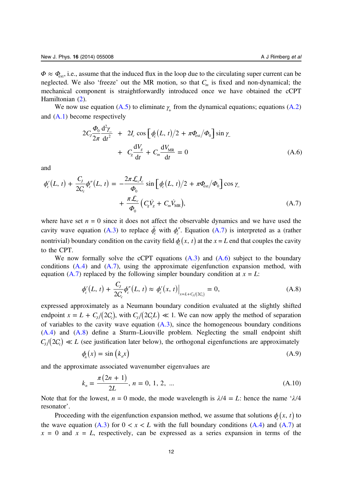<span id="page-13-0"></span> $\Phi \approx \Phi_{\text{ext}}$ , i.e., assume that the induced flux in the loop due to the circulating super current can be neglected. We also 'freeze' out the MR motion, so that  $C<sub>m</sub>$  is fixed and non-dynamical; the mechanical component is straightforwardly introduced once we have obtained the cCPT Hamiltonian ([2\)](#page-5-0).

We now use equation ([A.5](#page-12-0)) to eliminate  $\gamma$  from the dynamical equations; equations ([A.2](#page-12-0)) and ([A.1](#page-12-0)) become respectively

$$
2C_J \frac{\Phi_0}{2\pi} \frac{d^2 \gamma}{dt^2} + 2I_c \cos \left[\phi_c(L, t)/2 + \pi \Phi_{ext}/\Phi_0\right] \sin \gamma_+ + C_g \frac{dV_g}{dt} + C_m \frac{dV_{MR}}{dt} = 0
$$
 (A.6)

and

$$
\phi_c'(L, t) + \frac{C_J}{2C_c} \phi_c''(L, t) = -\frac{2\pi \mathcal{L}_c I_c}{\Phi_0} \sin \left[ \phi_c(L, t) / 2 + \pi \Phi_{ext}/\Phi_0 \right] \cos \gamma_{-} + \frac{\pi \mathcal{L}_c}{\Phi_0} \left( C_g \dot{V}_g + C_m \dot{V}_{MR} \right), \tag{A.7}
$$

where have set  $n = 0$  since it does not affect the observable dynamics and we have used the cavity wave equation [\(A.3\)](#page-12-0) to replace  $\ddot{\phi}_c$  with  $\phi_c''$ . Equation (A.7) is interpreted as a (rather nontrivial) boundary condition on the cavity field  $\phi(x, t)$  at the x = L end that couples the cavity to the CPT.

We now formally solve the cCPT equations  $(A.3)$  and  $(A.6)$  subject to the boundary conditions  $(A.4)$  and  $(A.7)$ , using the approximate eigenfunction expansion method, with equation (A.7) replaced by the following simpler boundary condition at  $x = L$ :

$$
\phi'_{c}(L, t) + \frac{C_{J}}{2C_{c}} \phi''_{c}(L, t) \approx \phi'_{c}(x, t)\Big|_{x=L+C_{J}/(2C_{c})} = 0,
$$
\n(A.8)

expressed approximately as a Neumann boundary condition evaluated at the slightly shifted endpoint  $x = L + C_1/(2C_c)$ , with  $C_1/(2C_cL) \ll 1$ . We can now apply the method of separation of variables to the cavity wave equation  $(A.3)$ , since the homogeneous boundary conditions ([A.4](#page-12-0)) and (A.8) define a Sturm–Liouville problem. Neglecting the small endpoint shift  $C_1/(2C) \ll L$  (see justification later below), the orthogonal eigenfunctions are approximately

$$
\phi_n(x) = \sin(k_n x) \tag{A.9}
$$

and the approximate associated wavenumber eigenvalues are

$$
k_n = \frac{\pi (2n + 1)}{2L}, \, n = 0, 1, 2, \, \dots \tag{A.10}
$$

Note that for the lowest,  $n = 0$  mode, the mode wavelength is  $\lambda/4 = L$ : hence the name ' $\lambda/4$ resonator'.

Proceeding with the eigenfunction expansion method, we assume that solutions  $\phi(x, t)$  to the wave equation [\(A.3\)](#page-12-0) for  $0 < x < L$  with the full boundary conditions [\(A.4\)](#page-12-0) and (A.7) at  $x = 0$  and  $x = L$ , respectively, can be expressed as a series expansion in terms of the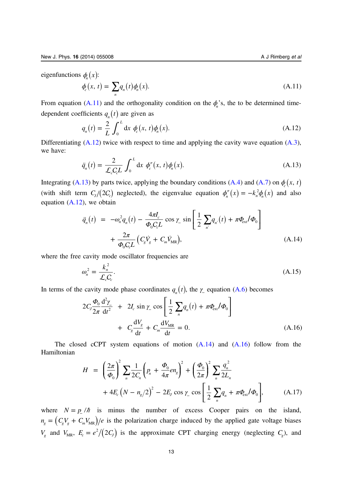<span id="page-14-0"></span>eigenfunctions  $\phi_n(x)$ :

$$
\phi_c(x, t) = \sum_n q_n(t)\phi_n(x). \tag{A.11}
$$

From equation (A.11) and the orthogonality condition on the  $\phi_n$ 's, the to be determined timedependent coefficients  $q_n(t)$  are given as

$$
q_n(t) = \frac{2}{L} \int_0^L dx \, \phi_c(x, t) \phi_n(x).
$$
 (A.12)

Differentiating  $(A.12)$  twice with respect to time and applying the cavity wave equation  $(A.3)$  $(A.3)$  $(A.3)$ , we have:

$$
\ddot{q}_n(t) = \frac{2}{\mathcal{L}_c C_c L} \int_0^L dx \phi_c''(x, t) \phi_n(x).
$$
 (A.13)

Integrating (A.13) by parts twice, applying the boundary conditions [\(A.4\)](#page-12-0) and [\(A.7\)](#page-13-0) on  $\phi(x, t)$ (with shift term  $C_J/(2C_c)$  neglected), the eigenvalue equation  $\phi''_n(x) = -k_n^2 \phi_n(x)$  and also equation (A.12), we obtain

$$
\ddot{q}_n(t) = -\omega_n^2 q_n(t) - \frac{4\pi l_c}{\Phi_0 C_c L} \cos \gamma_{-} \sin \left[ \frac{1}{2} \sum_{n'} q_{n'}(t) + \pi \Phi_{\text{ext}} / \Phi_0 \right] + \frac{2\pi}{\Phi_0 C_c L} \left( C_g \dot{V}_g + C_m \dot{V}_{MR} \right), \tag{A.14}
$$

where the free cavity mode oscillator frequencies are

$$
\omega_n^2 = \frac{k_n^2}{\mathcal{L}_c C_c}.\tag{A.15}
$$

In terms of the cavity mode phase coordinates  $q_n(t)$ , the  $\gamma$  equation [\(A.6\)](#page-13-0) becomes

$$
2C_J \frac{\Phi_0}{2\pi} \frac{d^2 \gamma}{dt^2} + 2I_c \sin \gamma \cos \left[ \frac{1}{2} \sum_n q_n(t) + \pi \Phi_{\text{ext}} / \Phi_0 \right]
$$
  
+  $C_g \frac{dV_g}{dt} + C_m \frac{dV_{\text{MR}}}{dt} = 0.$  (A.16)

The closed cCPT system equations of motion  $(A.14)$  and  $(A.16)$  follow from the Hamiltonian

$$
H = \left(\frac{2\pi}{\Phi_0}\right)^2 \sum_n \frac{1}{2C_n} \left(p_n + \frac{\Phi_0}{4\pi} en_g\right)^2 + \left(\frac{\Phi_0}{2\pi}\right)^2 \sum_n \frac{q_n^2}{2L_n} + 4E_c \left(N - n_g/2\right)^2 - 2E_J \cos \gamma_c \cos \left[\frac{1}{2} \sum_n q_n + \pi \Phi_{\text{ext}}/\Phi_0\right],\tag{A.17}
$$

where  $N = p/\hbar$  is minus the number of excess Cooper pairs on the island,  $n_g = (C_g V_g + C_m V_{MR})/e$  is the polarization charge induced by the applied gate voltage biases  $V_g$  and  $V_{MR}$ ,  $E_c = e^2/(2C_J)$  is the approximate CPT charging energy (neglecting  $C_g$ ), and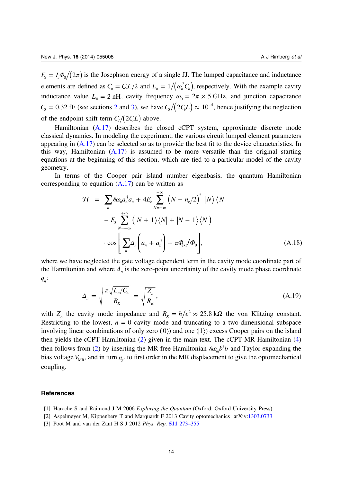<span id="page-15-0"></span> $E_I = I_c \Phi_0/(2\pi)$  is the Josephson energy of a single JJ. The lumped capacitance and inductance elements are defined as  $C_n = C_c L/2$  and  $L_n = 1/(\omega_n^2 C_n)$ , respectively. With the example cavity inductance value  $L_0 = 2$  nH, cavity frequency  $\omega_0 = 2\pi \times 5$  GHz, and junction capacitance  $C_J = 0.32$  $C_J = 0.32$  fF (see sections 2 and [3](#page-9-0)), we have  $C_J/(2C_cL) \approx 10^{-4}$ , hence justifying the neglection of the endpoint shift term  $C_J/(2C_cL)$  above.

Hamiltonian ([A.17\)](#page-14-0) describes the closed cCPT system, approximate discrete mode classical dynamics. In modeling the experiment, the various circuit lumped element parameters appearing in [\(A.17\)](#page-14-0) can be selected so as to provide the best fit to the device characteristics. In this way, Hamiltonian  $(A.17)$  $(A.17)$  $(A.17)$  is assumed to be more versatile than the original starting equations at the beginning of this section, which are tied to a particular model of the cavity geometry.

In terms of the Cooper pair island number eigenbasis, the quantum Hamiltonian corresponding to equation  $(A.17)$  $(A.17)$  can be written as

$$
\mathcal{H} = \sum_{n} \hbar \omega_n a_n^{\dagger} a_n + 4E_c \sum_{N=-\infty}^{+\infty} \left( N - n_g/2 \right)^2 |N\rangle \langle N|
$$
  
\n
$$
- E_J \sum_{N=-\infty}^{+\infty} \left( |N+1\rangle \langle N| + |N-1\rangle \langle N| \right)
$$
  
\n
$$
\cdot \cos \left[ \sum_n \Delta_n \left( a_n + a_n^{\dagger} \right) + \pi \Phi_{\text{ext}} / \Phi_0 \right],
$$
 (A.18)

where we have neglected the gate voltage dependent term in the cavity mode coordinate part of the Hamiltonian and where  $\Delta_n$  is the zero-point uncertainty of the cavity mode phase coordinate  $q_{n}$ :

$$
\Delta_n = \sqrt{\frac{\pi \sqrt{L_n/C_n}}{R_K}} = \sqrt{\frac{Z_n}{R_K}},
$$
\n(A.19)

with  $Z_n$  the cavity mode impedance and  $R_K = h/e^2 \approx 25.8 \text{ k}\Omega$  the von Klitzing constant. Restricting to the lowest,  $n = 0$  cavity mode and truncating to a two-dimensional subspace involving linear combinations of only zero  $(0)$  and one  $(1)$  excess Cooper pairs on the island then yields the cCPT Hamiltonian ([2\)](#page-5-0) given in the main text. The cCPT-MR Hamiltonian [\(4](#page-9-0)) then follows from [\(2](#page-5-0)) by inserting the MR free Hamiltonian  $\hbar \omega_m b^{\dagger} b$  and Taylor expanding the bias voltage  $V_{MR}$ , and in turn  $n_g$ , to first order in the MR displacement to give the optomechanical coupling.

#### References

- [1] Haroche S and Raimond J M 2006 Exploring the Quantum (Oxford: Oxford University Press)
- [2] Aspelmeyer M, Kippenberg T and Marquardt F 2013 Cavity optomechanics arXiv[:1303.0733](http://arXiv.org/abs/1303.0733)
- [3] Poot M and van der Zant H S J 2012 Phys. Rep. 511 [273](http://dx.doi.org/10.1016/j.physrep.2011.12.004)-355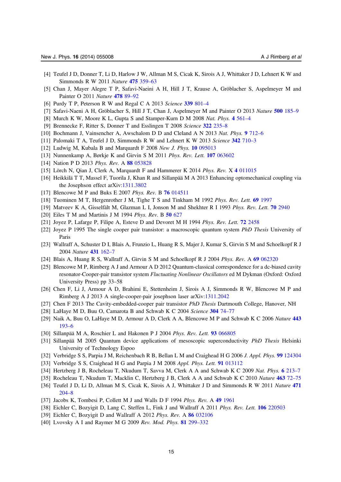- <span id="page-16-0"></span>[4] Teufel J D, Donner T, Li D, Harlow J W, Allman M S, Cicak K, Sirois A J, Whittaker J D, Lehnert K W and Simmonds R W 2011 Nature 475 [359](http://dx.doi.org/10.1038/nature10261)–63
- [5] Chan J, Mayer Alegre T P, Safavi-Naeini A H, Hill J T, Krause A, Gröblacher S, Aspelmeyer M and Painter O 2011 Nature [478](http://dx.doi.org/10.1038/nature10461) 89–92
- [6] Purdy T P, Peterson R W and Regal C A 2013 Science 339 [801](http://dx.doi.org/10.1126/science.1231282)–4
- [7] Safavi-Naeni A H, Gröblacher S, Hill J T, Chan J, Aspelmeyer M and Painter O 2013 Nature 500 [185](http://dx.doi.org/10.1038/nature12307)–9
- [8] Murch K W, Moore K L, Gupta S and Stamper-Kurn D M 2008 Nat. Phys. 4 [561](http://dx.doi.org/10.1038/nphys965)–4
- [9] Brennecke F, Ritter S, Donner T and Esslingen T 2008 Science 322 [235](http://dx.doi.org/10.1126/science.1163218)–8
- [10] Bochmann J, Vainsencher A, Awschalom D D and Cleland A N 2013 Nat. Phys. 9 [712](http://dx.doi.org/10.1038/nphys2748)–6
- [11] Palomaki T A, Teufel J D, Simmonds R W and Lehnert K W 2013 Science 342 [710](http://dx.doi.org/10.1126/science.1244563)-3
- [12] Ludwig M, Kubala B and Marquardt F 2008 New J. Phys. 10 [095013](http://dx.doi.org/10.1088/1367-2630/10/9/095013)
- [13] Nunnenkamp A, Børkje K and Girvin S M 2011 Phys. Rev. Lett. 107 [063602](http://dx.doi.org/10.1103/physrevlett.107.063602)
- [14] Nation P D 2013 Phys. Rev. A 88 [053828](http://dx.doi.org/10.1103/physreva.88.053828)
- [15] Lörch N, Qian J, Clerk A, Marquardt F and Hammerer K 2014 Phys. Rev. X 4 [011015](http://dx.doi.org/10.1103/physrevx.4.011015)
- [16] Heikkilä T T, Massel F, Tuorila J, Khan R and Sillanpää M A 2013 Enhancing optomechanical coupling via the Josephson effect arXiv:[1311.3802](http://arXiv.org/abs/1311.3802)
- [17] Blencowe M P and Buks E 2007 Phys. Rev. B 76 [014511](http://dx.doi.org/10.1103/physrevb.76.014511)
- [18] Tuominen M T, Hergenrother J M, Tighe T S and Tinkham M 1992 Phys. Rev. Lett. 69 [1997](http://dx.doi.org/10.1103/PhysRevLett.69.1997)
- [19] Matveev K A, Gisselfält M, Glazman L I, Jonson M and Shekhter R I 1993 Phys. Rev. Lett. 70 [2940](http://dx.doi.org/10.1103/PhysRevLett.70.2940)
- [20] Eiles T M and Martinis J M 1994 Phys. Rev. B 50 [627](http://dx.doi.org/10.1103/PhysRevB.50.627)
- [21] Joyez P, Lafarge P, Filipe A, Esteve D and Devoret M H 1994 Phys. Rev. Lett. 72 [2458](http://dx.doi.org/10.1103/PhysRevLett.72.2458)
- [22] Joyez P 1995 The single cooper pair transistor: a macroscopic quantum system PhD Thesis University of Paris
- [23] Wallraff A, Schuster D I, Blais A, Frunzio L, Huang R S, Majer J, Kumar S, Girvin S M and Schoelkopf R J 2004 Nature 431 [162](http://dx.doi.org/10.1038/nature02851)–7
- [24] Blais A, Huang R S, Wallraff A, Girvin S M and Schoelkopf R J 2004 Phys. Rev. A 69 [062320](http://dx.doi.org/10.1103/PhysRevA.69.062320)
- [25] Blencowe M P, Rimberg A J and Armour A D 2012 Quantum-classical correspondence for a dc-biased cavity resonator-Cooper-pair transistor system Fluctuating Nonlinear Oscillators ed M Dykman (Oxford: Oxford University Press) pp 33–58
- [26] Chen F, Li J, Armour A D, Brahimi E, Stettenheim J, Sirois A J, Simmonds R W, Blencowe M P and Rimberg A J 2013 A single-cooper-pair josephson laser arXiv:[1311.2042](http://arXiv.org/abs/1311.2042)
- [27] Chen F 2013 The Cavity-embedded-cooper pair transistor *PhD Thesis Dartmouth College*, Hanover, NH
- [28] LaHaye M D, Buu O, Camarota B and Schwab K C 2004 Science [304](http://dx.doi.org/10.1126/science.1094419) 74–77
- [29] Naik A, Buu O, LaHaye M D, Armour A D, Clerk A A, Blencowe M P and Schwab K C 2006 Nature [443](http://dx.doi.org/10.1038/nature05027) [193](http://dx.doi.org/10.1038/nature05027)–6
- [30] Sillanpää M A, Roschier L and Hakonen P J 2004 Phys. Rev. Lett. 93 [066805](http://dx.doi.org/10.1103/PhysRevLett.93.066805)
- [31] Sillanpää M 2005 Quantum device applications of mesoscopic superconductivity PhD Thesis Helsinki University of Technology Espoo
- [32] Verbridge S S, Parpia J M, Reichenbach R B, Bellan L M and Craighead H G 2006 J. Appl. Phys. 99 [124304](http://dx.doi.org/10.1063/1.2204829)
- [33] Verbridge S S, Craighead H G and Parpia J M 2008 Appl. Phys. Lett. 91 [013112](http://dx.doi.org/10.1063/1.2822406)
- [34] Hertzberg J B, Rocheleau T, Nkudum T, Savva M, Clerk A A and Schwab K C 2009 Nat. Phys. 6 [213](http://dx.doi.org/10.1038/nphys1479)–7
- [35] Rocheleau T, Nkudum T, Macklin C, Hertzberg J B, Clerk A A and Schwab K C 2010 Nature [463](http://dx.doi.org/10.1038/nature08681) 72-75
- [36] Teufel J D, Li D, Allman M S, Cicak K, Sirois A J, Whittaker J D and Simmonds R W 2011 Nature [471](http://dx.doi.org/10.1038/nature09898) [204](http://dx.doi.org/10.1038/nature09898)–8
- [37] Jacobs K, Tombesi P, Collett M J and Walls D F 1994 Phys. Rev. A 49 [1961](http://dx.doi.org/10.1103/PhysRevA.49.1961)
- [38] Eichler C, Bozyigit D, Lang C, Steffen L, Fink J and Wallraff A 2011 Phys. Rev. Lett. 106 [220503](http://dx.doi.org/10.1103/PhysRevLett.106.220503)
- [39] Eichler C, Bozyigit D and Wallraff A 2012 Phys. Rev. A 86 [032106](http://dx.doi.org/10.1103/PhysRevA.86.032106)
- [40] Lvovsky A I and Raymer M G 2009 Rev. Mod. Phys. 81 [299](http://dx.doi.org/10.1103/RevModPhys.81.299)-332